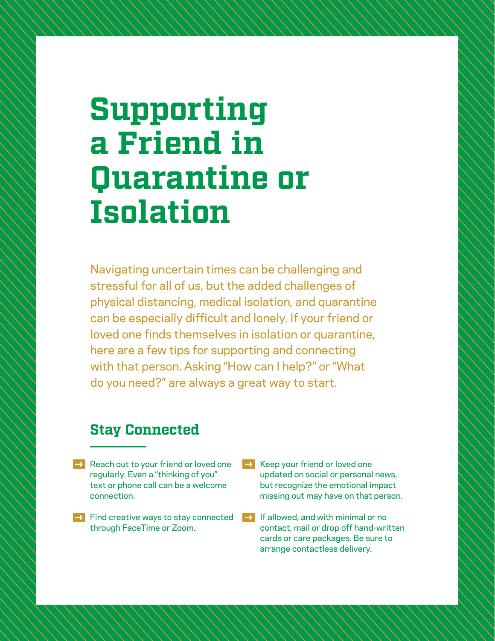# **Supporting a Friend in Quarantine or Isolation**

Navigating uncertain times can be challenging and stressful for all of us, but the added challenges of physical distancing, medical isolation, and quarantine can be especially difficult and lonely. If your friend or loved one finds themselves in isolation or quarantine, here are a few tips for supporting and connecting with that person. Asking "How can I help?" or "What do you need?" are always a great way to start.

## **Stay Connected**

- $\rightarrow$  Reach out to your friend or loved one regularly. Even a "thinking of you" text or phone call can be a welcome connection.
- $\rightarrow$  Find creative ways to stay connected through FaceTime or Zoom.
- Keep your friend or loved one updated on social or personal news, but recognize the emotional impact missing out may have on that person.
- If allowed, and with minimal or no contact, mail or drop off hand-written cards or care packages. Be sure to arrange contactless delivery.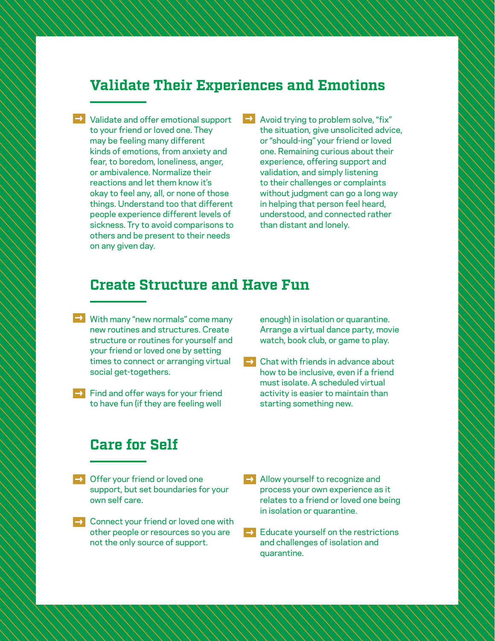## **Validate Their Experiences and Emotions**

 $\rightarrow$  Validate and offer emotional support to your friend or loved one. They may be feeling many different kinds of emotions, from anxiety and fear, to boredom, loneliness, anger, or ambivalence. Normalize their reactions and let them know it's okay to feel any, all, or none of those things. Understand too that different people experience different levels of sickness. Try to avoid comparisons to others and be present to their needs on any given day.

 $\rightarrow$ Avoid trying to problem solve, "fix" the situation, give unsolicited advice, or "should-ing" your friend or loved one. Remaining curious about their experience, offering support and validation, and simply listening to their challenges or complaints without judgment can go a long way in helping that person feel heard, understood, and connected rather than distant and lonely.

#### **Create Structure and Have Fun**

- $\blacktriangleright$  With many "new normals" come many new routines and structures. Create structure or routines for yourself and your friend or loved one by setting times to connect or arranging virtual social get-togethers.
- $\rightarrow$  Find and offer ways for your friend to have fun (if they are feeling well

enough) in isolation or quarantine. Arrange a virtual dance party, movie watch, book club, or game to play.

 $\rightarrow$  Chat with friends in advance about how to be inclusive, even if a friend must isolate. A scheduled virtual activity is easier to maintain than starting something new.

## **Care for Self**

- $\rightarrow$  Offer your friend or loved one support, but set boundaries for your own self care.
- $\rightarrow$  Connect your friend or loved one with other people or resources so you are not the only source of support.
- $\rightarrow$  Allow yourself to recognize and process your own experience as it relates to a friend or loved one being in isolation or quarantine.
- $\rightarrow$  Educate yourself on the restrictions and challenges of isolation and quarantine.